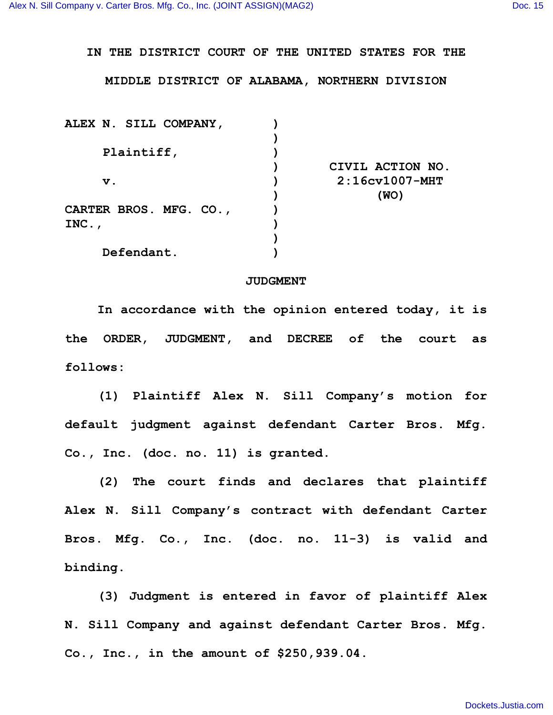## **IN THE DISTRICT COURT OF THE UNITED STATES FOR THE**

## **MIDDLE DISTRICT OF ALABAMA, NORTHERN DIVISION**

| ALEX N. SILL COMPANY,  |                  |
|------------------------|------------------|
|                        |                  |
| Plaintiff,             |                  |
|                        | CIVIL ACTION NO. |
| $\mathbf v$ .          | $2:16cv1007-MHT$ |
|                        | (WO)             |
| CARTER BROS. MFG. CO., |                  |
| INC.                   |                  |
|                        |                  |
| Defendant.             |                  |

## **JUDGMENT**

**In accordance with the opinion entered today, it is the ORDER, JUDGMENT, and DECREE of the court as follows:**

**(1) Plaintiff Alex N. Sill Company's motion for default judgment against defendant Carter Bros. Mfg. Co., Inc. (doc. no. 11) is granted.**

**(2) The court finds and declares that plaintiff Alex N. Sill Company's contract with defendant Carter Bros. Mfg. Co., Inc. (doc. no. 11-3) is valid and binding.**

**(3) Judgment is entered in favor of plaintiff Alex N. Sill Company and against defendant Carter Bros. Mfg. Co., Inc., in the amount of \$250,939.04.**